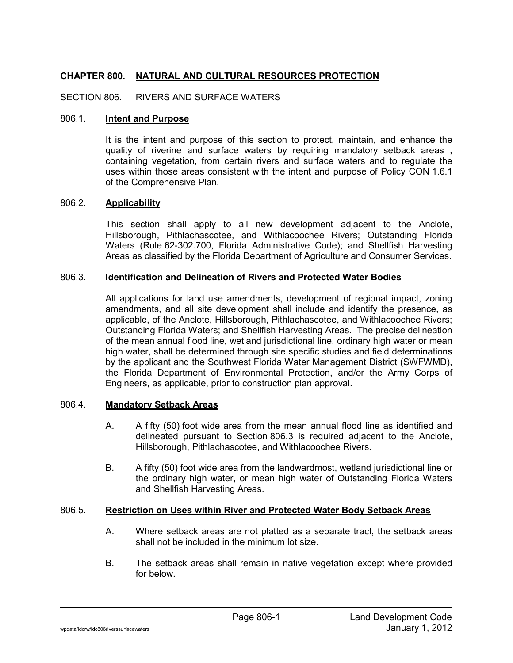# CHAPTER 800. NATURAL AND CULTURAL RESOURCES PROTECTION

SECTION 806. RIVERS AND SURFACE WATERS

#### 806.1. Intent and Purpose

It is the intent and purpose of this section to protect, maintain, and enhance the quality of riverine and surface waters by requiring mandatory setback areas, containing vegetation, from certain rivers and surface waters and to regulate the uses within those areas consistent with the intent and purpose of Policy CON 1.6.1 of the Comprehensive Plan.

### 806.2. Applicability

This section shall apply to all new development adjacent to the Anclote, Hillsborough, Pithlachascotee, and Withlacoochee Rivers; Outstanding Florida Waters (Rule 62-302.700, Florida Administrative Code); and Shellfish Harvesting Areas as classified by the Florida Department of Agriculture and Consumer Services.

## 806.3. Identification and Delineation of Rivers and Protected Water Bodies

All applications for land use amendments, development of regional impact, zoning amendments, and all site development shall include and identify the presence, as applicable, of the Anclote, Hillsborough, Pithlachascotee, and Withlacoochee Rivers; Outstanding Florida Waters; and Shellfish Harvesting Areas. The precise delineation of the mean annual flood line, wetland jurisdictional line, ordinary high water or mean high water, shall be determined through site specific studies and field determinations by the applicant and the Southwest Florida Water Management District (SWFWMD), the Florida Department of Environmental Protection, and/or the Army Corps of Engineers, as applicable, prior to construction plan approval.

#### 806.4. Mandatory Setback Areas

- A. A fifty (50) foot wide area from the mean annual flood line as identified and delineated pursuant to Section 806.3 is required adjacent to the Anclote, Hillsborough, Pithlachascotee, and Withlacoochee Rivers.
- B. A fifty (50) foot wide area from the landwardmost, wetland jurisdictional line or the ordinary high water, or mean high water of Outstanding Florida Waters and Shellfish Harvesting Areas.

## 806.5. Restriction on Uses within River and Protected Water Body Setback Areas

- A. Where setback areas are not platted as a separate tract, the setback areas shall not be included in the minimum lot size.
- B. The setback areas shall remain in native vegetation except where provided for below.